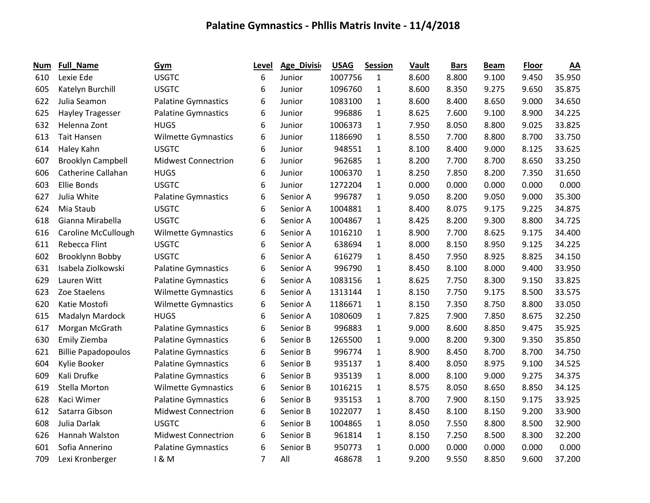| Num | <b>Full_Name</b>           | Gym                        | Level | Age_Divisi | <b>USAG</b> | <b>Session</b> | Vault | <b>Bars</b> | <b>Beam</b> | <b>Floor</b> | $\underline{AA}$ |
|-----|----------------------------|----------------------------|-------|------------|-------------|----------------|-------|-------------|-------------|--------------|------------------|
| 610 | Lexie Ede                  | <b>USGTC</b>               | 6     | Junior     | 1007756     | $\mathbf{1}$   | 8.600 | 8.800       | 9.100       | 9.450        | 35.950           |
| 605 | Katelyn Burchill           | <b>USGTC</b>               | 6     | Junior     | 1096760     | 1              | 8.600 | 8.350       | 9.275       | 9.650        | 35.875           |
| 622 | Julia Seamon               | <b>Palatine Gymnastics</b> | 6     | Junior     | 1083100     | 1              | 8.600 | 8.400       | 8.650       | 9.000        | 34.650           |
| 625 | Hayley Tragesser           | <b>Palatine Gymnastics</b> | 6     | Junior     | 996886      | $\mathbf{1}$   | 8.625 | 7.600       | 9.100       | 8.900        | 34.225           |
| 632 | Helenna Zont               | <b>HUGS</b>                | 6     | Junior     | 1006373     | $\mathbf{1}$   | 7.950 | 8.050       | 8.800       | 9.025        | 33.825           |
| 613 | <b>Tait Hansen</b>         | <b>Wilmette Gymnastics</b> | 6     | Junior     | 1186690     | $\mathbf{1}$   | 8.550 | 7.700       | 8.800       | 8.700        | 33.750           |
| 614 | Haley Kahn                 | <b>USGTC</b>               | 6     | Junior     | 948551      | $\mathbf{1}$   | 8.100 | 8.400       | 9.000       | 8.125        | 33.625           |
| 607 | <b>Brooklyn Campbell</b>   | <b>Midwest Connectrion</b> | 6     | Junior     | 962685      | $\mathbf{1}$   | 8.200 | 7.700       | 8.700       | 8.650        | 33.250           |
| 606 | Catherine Callahan         | <b>HUGS</b>                | 6     | Junior     | 1006370     | $\mathbf{1}$   | 8.250 | 7.850       | 8.200       | 7.350        | 31.650           |
| 603 | <b>Ellie Bonds</b>         | <b>USGTC</b>               | 6     | Junior     | 1272204     | $\mathbf{1}$   | 0.000 | 0.000       | 0.000       | 0.000        | 0.000            |
| 627 | Julia White                | <b>Palatine Gymnastics</b> | 6     | Senior A   | 996787      | $\mathbf{1}$   | 9.050 | 8.200       | 9.050       | 9.000        | 35.300           |
| 624 | Mia Staub                  | <b>USGTC</b>               | 6     | Senior A   | 1004881     | $\mathbf{1}$   | 8.400 | 8.075       | 9.175       | 9.225        | 34.875           |
| 618 | Gianna Mirabella           | <b>USGTC</b>               | 6     | Senior A   | 1004867     | 1              | 8.425 | 8.200       | 9.300       | 8.800        | 34.725           |
| 616 | <b>Caroline McCullough</b> | <b>Wilmette Gymnastics</b> | 6     | Senior A   | 1016210     | $\mathbf{1}$   | 8.900 | 7.700       | 8.625       | 9.175        | 34.400           |
| 611 | Rebecca Flint              | <b>USGTC</b>               | 6     | Senior A   | 638694      | $\mathbf{1}$   | 8.000 | 8.150       | 8.950       | 9.125        | 34.225           |
| 602 | Brooklynn Bobby            | <b>USGTC</b>               | 6     | Senior A   | 616279      | $\mathbf{1}$   | 8.450 | 7.950       | 8.925       | 8.825        | 34.150           |
| 631 | Isabela Ziolkowski         | Palatine Gymnastics        | 6     | Senior A   | 996790      | $\mathbf{1}$   | 8.450 | 8.100       | 8.000       | 9.400        | 33.950           |
| 629 | Lauren Witt                | <b>Palatine Gymnastics</b> | 6     | Senior A   | 1083156     | $\mathbf{1}$   | 8.625 | 7.750       | 8.300       | 9.150        | 33.825           |
| 623 | Zoe Staelens               | <b>Wilmette Gymnastics</b> | 6     | Senior A   | 1313144     | $\mathbf{1}$   | 8.150 | 7.750       | 9.175       | 8.500        | 33.575           |
| 620 | Katie Mostofi              | <b>Wilmette Gymnastics</b> | 6     | Senior A   | 1186671     | $\mathbf{1}$   | 8.150 | 7.350       | 8.750       | 8.800        | 33.050           |
| 615 | Madalyn Mardock            | <b>HUGS</b>                | 6     | Senior A   | 1080609     | $\mathbf{1}$   | 7.825 | 7.900       | 7.850       | 8.675        | 32.250           |
| 617 | Morgan McGrath             | <b>Palatine Gymnastics</b> | 6     | Senior B   | 996883      | 1              | 9.000 | 8.600       | 8.850       | 9.475        | 35.925           |
| 630 | Emily Ziemba               | <b>Palatine Gymnastics</b> | 6     | Senior B   | 1265500     | $\mathbf{1}$   | 9.000 | 8.200       | 9.300       | 9.350        | 35.850           |
| 621 | <b>Billie Papadopoulos</b> | <b>Palatine Gymnastics</b> | 6     | Senior B   | 996774      | $\mathbf{1}$   | 8.900 | 8.450       | 8.700       | 8.700        | 34.750           |
| 604 | Kylie Booker               | <b>Palatine Gymnastics</b> | 6     | Senior B   | 935137      | 1              | 8.400 | 8.050       | 8.975       | 9.100        | 34.525           |
| 609 | Kali Drufke                | <b>Palatine Gymnastics</b> | 6     | Senior B   | 935139      | $\mathbf{1}$   | 8.000 | 8.100       | 9.000       | 9.275        | 34.375           |
| 619 | Stella Morton              | <b>Wilmette Gymnastics</b> | 6     | Senior B   | 1016215     | 1              | 8.575 | 8.050       | 8.650       | 8.850        | 34.125           |
| 628 | Kaci Wimer                 | <b>Palatine Gymnastics</b> | 6     | Senior B   | 935153      | $\mathbf{1}$   | 8.700 | 7.900       | 8.150       | 9.175        | 33.925           |
| 612 | Satarra Gibson             | <b>Midwest Connectrion</b> | 6     | Senior B   | 1022077     | $\mathbf{1}$   | 8.450 | 8.100       | 8.150       | 9.200        | 33.900           |
| 608 | Julia Darlak               | <b>USGTC</b>               | 6     | Senior B   | 1004865     | $\mathbf{1}$   | 8.050 | 7.550       | 8.800       | 8.500        | 32.900           |
| 626 | Hannah Walston             | <b>Midwest Connectrion</b> | 6     | Senior B   | 961814      | $\mathbf{1}$   | 8.150 | 7.250       | 8.500       | 8.300        | 32.200           |
| 601 | Sofia Annerino             | <b>Palatine Gymnastics</b> | 6     | Senior B   | 950773      | $\mathbf{1}$   | 0.000 | 0.000       | 0.000       | 0.000        | 0.000            |
| 709 | Lexi Kronberger            | 1 & M                      | 7     | All        | 468678      | $\mathbf{1}$   | 9.200 | 9.550       | 8.850       | 9.600        | 37.200           |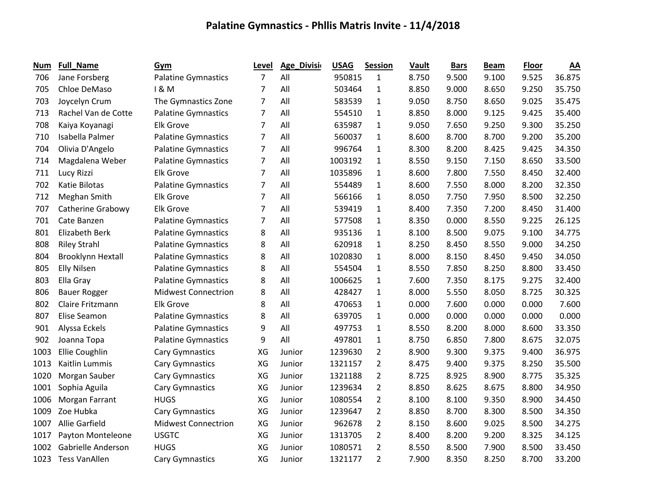| Num  | <b>Full_Name</b>         | Gym                        | Level          | <b>Age_Divisio</b> | <b>USAG</b> | <b>Session</b> | Vault | <b>Bars</b> | <b>Beam</b> | <b>Floor</b> | AA     |
|------|--------------------------|----------------------------|----------------|--------------------|-------------|----------------|-------|-------------|-------------|--------------|--------|
| 706  | Jane Forsberg            | <b>Palatine Gymnastics</b> | $\overline{7}$ | All                | 950815      | 1              | 8.750 | 9.500       | 9.100       | 9.525        | 36.875 |
| 705  | Chloe DeMaso             | 1 & M                      | 7              | All                | 503464      | $\mathbf{1}$   | 8.850 | 9.000       | 8.650       | 9.250        | 35.750 |
| 703  | Joycelyn Crum            | The Gymnastics Zone        | $\overline{7}$ | All                | 583539      | $\mathbf{1}$   | 9.050 | 8.750       | 8.650       | 9.025        | 35.475 |
| 713  | Rachel Van de Cotte      | <b>Palatine Gymnastics</b> | 7              | All                | 554510      | $\mathbf{1}$   | 8.850 | 8.000       | 9.125       | 9.425        | 35.400 |
| 708  | Kaiya Koyanagi           | <b>Elk Grove</b>           | $\overline{7}$ | All                | 635987      | $\mathbf{1}$   | 9.050 | 7.650       | 9.250       | 9.300        | 35.250 |
| 710  | Isabella Palmer          | <b>Palatine Gymnastics</b> | $\overline{7}$ | All                | 560037      | $\mathbf{1}$   | 8.600 | 8.700       | 8.700       | 9.200        | 35.200 |
| 704  | Olivia D'Angelo          | <b>Palatine Gymnastics</b> | $\overline{7}$ | All                | 996764      | $\mathbf{1}$   | 8.300 | 8.200       | 8.425       | 9.425        | 34.350 |
| 714  | Magdalena Weber          | <b>Palatine Gymnastics</b> | $\overline{7}$ | All                | 1003192     | 1              | 8.550 | 9.150       | 7.150       | 8.650        | 33.500 |
| 711  | Lucy Rizzi               | <b>Elk Grove</b>           | 7              | All                | 1035896     | $\mathbf{1}$   | 8.600 | 7.800       | 7.550       | 8.450        | 32.400 |
| 702  | Katie Bilotas            | Palatine Gymnastics        | $\overline{7}$ | All                | 554489      | $\mathbf{1}$   | 8.600 | 7.550       | 8.000       | 8.200        | 32.350 |
| 712  | Meghan Smith             | <b>Elk Grove</b>           | 7              | All                | 566166      | $\mathbf{1}$   | 8.050 | 7.750       | 7.950       | 8.500        | 32.250 |
| 707  | <b>Catherine Grabowy</b> | <b>Elk Grove</b>           | 7              | All                | 539419      | $\mathbf{1}$   | 8.400 | 7.350       | 7.200       | 8.450        | 31.400 |
| 701  | Cate Banzen              | <b>Palatine Gymnastics</b> | $\overline{7}$ | All                | 577508      | $\mathbf{1}$   | 8.350 | 0.000       | 8.550       | 9.225        | 26.125 |
| 801  | Elizabeth Berk           | <b>Palatine Gymnastics</b> | 8              | All                | 935136      | $\mathbf{1}$   | 8.100 | 8.500       | 9.075       | 9.100        | 34.775 |
| 808  | <b>Riley Strahl</b>      | <b>Palatine Gymnastics</b> | 8              | All                | 620918      | $\mathbf{1}$   | 8.250 | 8.450       | 8.550       | 9.000        | 34.250 |
| 804  | <b>Brooklynn Hextall</b> | <b>Palatine Gymnastics</b> | 8              | All                | 1020830     | $\mathbf{1}$   | 8.000 | 8.150       | 8.450       | 9.450        | 34.050 |
| 805  | <b>Elly Nilsen</b>       | <b>Palatine Gymnastics</b> | 8              | All                | 554504      | 1              | 8.550 | 7.850       | 8.250       | 8.800        | 33.450 |
| 803  | Ella Gray                | <b>Palatine Gymnastics</b> | 8              | All                | 1006625     | $\mathbf{1}$   | 7.600 | 7.350       | 8.175       | 9.275        | 32.400 |
| 806  | <b>Bauer Rogger</b>      | <b>Midwest Connectrion</b> | 8              | All                | 428427      | $\mathbf{1}$   | 8.000 | 5.550       | 8.050       | 8.725        | 30.325 |
| 802  | Claire Fritzmann         | <b>Elk Grove</b>           | 8              | All                | 470653      | $\mathbf{1}$   | 0.000 | 7.600       | 0.000       | 0.000        | 7.600  |
| 807  | Elise Seamon             | <b>Palatine Gymnastics</b> | 8              | All                | 639705      | $\mathbf{1}$   | 0.000 | 0.000       | 0.000       | 0.000        | 0.000  |
| 901  | Alyssa Eckels            | <b>Palatine Gymnastics</b> | 9              | All                | 497753      | 1              | 8.550 | 8.200       | 8.000       | 8.600        | 33.350 |
| 902  | Joanna Topa              | <b>Palatine Gymnastics</b> | 9              | All                | 497801      | $\mathbf{1}$   | 8.750 | 6.850       | 7.800       | 8.675        | 32.075 |
| 1003 | Ellie Coughlin           | Cary Gymnastics            | XG             | Junior             | 1239630     | $\overline{2}$ | 8.900 | 9.300       | 9.375       | 9.400        | 36.975 |
| 1013 | Kaitlin Lummis           | Cary Gymnastics            | XG             | Junior             | 1321157     | $\overline{2}$ | 8.475 | 9.400       | 9.375       | 8.250        | 35.500 |
| 1020 | Morgan Sauber            | Cary Gymnastics            | XG             | Junior             | 1321188     | $\overline{2}$ | 8.725 | 8.925       | 8.900       | 8.775        | 35.325 |
| 1001 | Sophia Aguila            | Cary Gymnastics            | XG             | Junior             | 1239634     | $\overline{2}$ | 8.850 | 8.625       | 8.675       | 8.800        | 34.950 |
| 1006 | Morgan Farrant           | <b>HUGS</b>                | XG             | Junior             | 1080554     | $\overline{2}$ | 8.100 | 8.100       | 9.350       | 8.900        | 34.450 |
| 1009 | Zoe Hubka                | Cary Gymnastics            | XG             | Junior             | 1239647     | $\overline{2}$ | 8.850 | 8.700       | 8.300       | 8.500        | 34.350 |
| 1007 | <b>Allie Garfield</b>    | <b>Midwest Connectrion</b> | XG             | Junior             | 962678      | $\overline{2}$ | 8.150 | 8.600       | 9.025       | 8.500        | 34.275 |
| 1017 | Payton Monteleone        | <b>USGTC</b>               | XG             | Junior             | 1313705     | $\overline{2}$ | 8.400 | 8.200       | 9.200       | 8.325        | 34.125 |
| 1002 | Gabrielle Anderson       | <b>HUGS</b>                | XG             | Junior             | 1080571     | $\overline{2}$ | 8.550 | 8.500       | 7.900       | 8.500        | 33.450 |
| 1023 | <b>Tess VanAllen</b>     | Cary Gymnastics            | XG             | Junior             | 1321177     | $\overline{2}$ | 7.900 | 8.350       | 8.250       | 8.700        | 33.200 |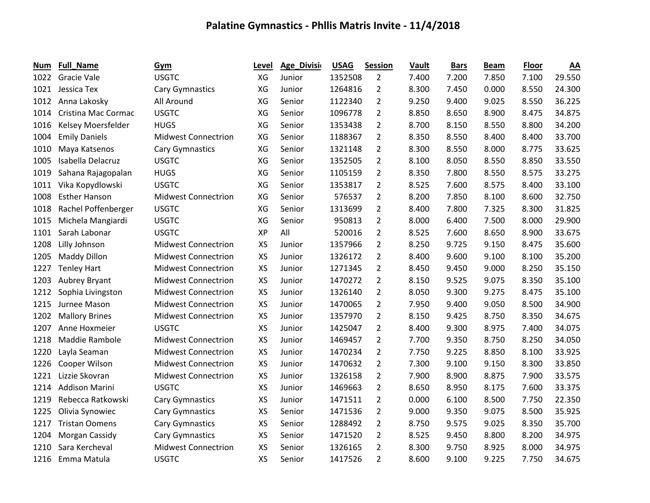| Num  | <b>Full_Name</b>      | Gym                        | Level     | Age_Divisi | <b>USAG</b> | <b>Session</b> | Vault | <b>Bars</b> | <b>Beam</b> | <b>Floor</b> | AA     |
|------|-----------------------|----------------------------|-----------|------------|-------------|----------------|-------|-------------|-------------|--------------|--------|
| 1022 | Gracie Vale           | <b>USGTC</b>               | XG        | Junior     | 1352508     | $\overline{2}$ | 7.400 | 7.200       | 7.850       | 7.100        | 29.550 |
| 1021 | Jessica Tex           | Cary Gymnastics            | XG        | Junior     | 1264816     | $\overline{2}$ | 8.300 | 7.450       | 0.000       | 8.550        | 24.300 |
| 1012 | Anna Lakosky          | All Around                 | XG        | Senior     | 1122340     | $\overline{2}$ | 9.250 | 9.400       | 9.025       | 8.550        | 36.225 |
| 1014 | Cristina Mac Cormac   | <b>USGTC</b>               | XG        | Senior     | 1096778     | $\overline{2}$ | 8.850 | 8.650       | 8.900       | 8.475        | 34.875 |
| 1016 | Kelsey Moersfelder    | <b>HUGS</b>                | XG        | Senior     | 1353438     | $\overline{2}$ | 8.700 | 8.150       | 8.550       | 8.800        | 34.200 |
| 1004 | <b>Emily Daniels</b>  | <b>Midwest Connectrion</b> | XG        | Senior     | 1188367     | $\overline{2}$ | 8.350 | 8.550       | 8.400       | 8.400        | 33.700 |
| 1010 | Maya Katsenos         | <b>Cary Gymnastics</b>     | XG        | Senior     | 1321148     | $\overline{2}$ | 8.300 | 8.550       | 8.000       | 8.775        | 33.625 |
| 1005 | Isabella Delacruz     | <b>USGTC</b>               | XG        | Senior     | 1352505     | $\overline{2}$ | 8.100 | 8.050       | 8.550       | 8.850        | 33.550 |
| 1019 | Sahana Rajagopalan    | <b>HUGS</b>                | XG        | Senior     | 1105159     | $\overline{2}$ | 8.350 | 7.800       | 8.550       | 8.575        | 33.275 |
| 1011 | Vika Kopydlowski      | <b>USGTC</b>               | XG        | Senior     | 1353817     | $\overline{2}$ | 8.525 | 7.600       | 8.575       | 8.400        | 33.100 |
| 1008 | <b>Esther Hanson</b>  | <b>Midwest Connectrion</b> | XG        | Senior     | 576537      | $\overline{2}$ | 8.200 | 7.850       | 8.100       | 8.600        | 32.750 |
| 1018 | Rachel Poffenberger   | <b>USGTC</b>               | XG        | Senior     | 1313699     | 2              | 8.400 | 7.800       | 7.325       | 8.300        | 31.825 |
| 1015 | Michela Mangiardi     | <b>USGTC</b>               | XG        | Senior     | 950813      | $\overline{2}$ | 8.000 | 6.400       | 7.500       | 8.000        | 29.900 |
| 1101 | Sarah Labonar         | <b>USGTC</b>               | <b>XP</b> | All        | 520016      | $\overline{2}$ | 8.525 | 7.600       | 8.650       | 8.900        | 33.675 |
| 1208 | Lilly Johnson         | <b>Midwest Connectrion</b> | <b>XS</b> | Junior     | 1357966     | $\overline{2}$ | 8.250 | 9.725       | 9.150       | 8.475        | 35.600 |
| 1205 | Maddy Dillon          | <b>Midwest Connectrion</b> | <b>XS</b> | Junior     | 1326172     | $\overline{2}$ | 8.400 | 9.600       | 9.100       | 8.100        | 35.200 |
| 1227 | <b>Tenley Hart</b>    | <b>Midwest Connectrion</b> | <b>XS</b> | Junior     | 1271345     | $\overline{2}$ | 8.450 | 9.450       | 9.000       | 8.250        | 35.150 |
| 1203 | Aubrey Bryant         | <b>Midwest Connectrion</b> | <b>XS</b> | Junior     | 1470272     | $\overline{2}$ | 8.150 | 9.525       | 9.075       | 8.350        | 35.100 |
| 1212 | Sophia Livingston     | <b>Midwest Connectrion</b> | <b>XS</b> | Junior     | 1326140     | $\overline{2}$ | 8.050 | 9.300       | 9.275       | 8.475        | 35.100 |
| 1215 | Jurnee Mason          | <b>Midwest Connectrion</b> | <b>XS</b> | Junior     | 1470065     | $\overline{2}$ | 7.950 | 9.400       | 9.050       | 8.500        | 34.900 |
| 1202 | <b>Mallory Brines</b> | <b>Midwest Connectrion</b> | <b>XS</b> | Junior     | 1357970     | $\overline{2}$ | 8.150 | 9.425       | 8.750       | 8.350        | 34.675 |
| 1207 | Anne Hoxmeier         | <b>USGTC</b>               | <b>XS</b> | Junior     | 1425047     | $\overline{2}$ | 8.400 | 9.300       | 8.975       | 7.400        | 34.075 |
| 1218 | Maddie Rambole        | <b>Midwest Connectrion</b> | XS        | Junior     | 1469457     | $\overline{2}$ | 7.700 | 9.350       | 8.750       | 8.250        | 34.050 |
| 1220 | Layla Seaman          | <b>Midwest Connectrion</b> | <b>XS</b> | Junior     | 1470234     | $\overline{2}$ | 7.750 | 9.225       | 8.850       | 8.100        | 33.925 |
| 1226 | Cooper Wilson         | <b>Midwest Connectrion</b> | <b>XS</b> | Junior     | 1470632     | $\overline{2}$ | 7.300 | 9.100       | 9.150       | 8.300        | 33.850 |
| 1221 | Lizzie Skovran        | <b>Midwest Connectrion</b> | <b>XS</b> | Junior     | 1326158     | $\overline{2}$ | 7.900 | 8.900       | 8.875       | 7.900        | 33.575 |
| 1214 | <b>Addison Marini</b> | <b>USGTC</b>               | XS        | Junior     | 1469663     | $\overline{2}$ | 8.650 | 8.950       | 8.175       | 7.600        | 33.375 |
| 1219 | Rebecca Ratkowski     | <b>Cary Gymnastics</b>     | <b>XS</b> | Junior     | 1471511     | $\overline{2}$ | 0.000 | 6.100       | 8.500       | 7.750        | 22.350 |
| 1225 | Olivia Synowiec       | Cary Gymnastics            | <b>XS</b> | Senior     | 1471536     | $\overline{2}$ | 9.000 | 9.350       | 9.075       | 8.500        | 35.925 |
| 1217 | <b>Tristan Oomens</b> | Cary Gymnastics            | <b>XS</b> | Senior     | 1288492     | $\overline{2}$ | 8.750 | 9.575       | 9.025       | 8.350        | 35.700 |
| 1204 | Morgan Cassidy        | Cary Gymnastics            | <b>XS</b> | Senior     | 1471520     | 2              | 8.525 | 9.450       | 8.800       | 8.200        | 34.975 |
| 1210 | Sara Kercheval        | <b>Midwest Connectrion</b> | XS        | Senior     | 1326165     | 2              | 8.300 | 9.750       | 8.925       | 8.000        | 34.975 |
| 1216 | Emma Matula           | <b>USGTC</b>               | <b>XS</b> | Senior     | 1417526     | $\overline{2}$ | 8.600 | 9.100       | 9.225       | 7.750        | 34.675 |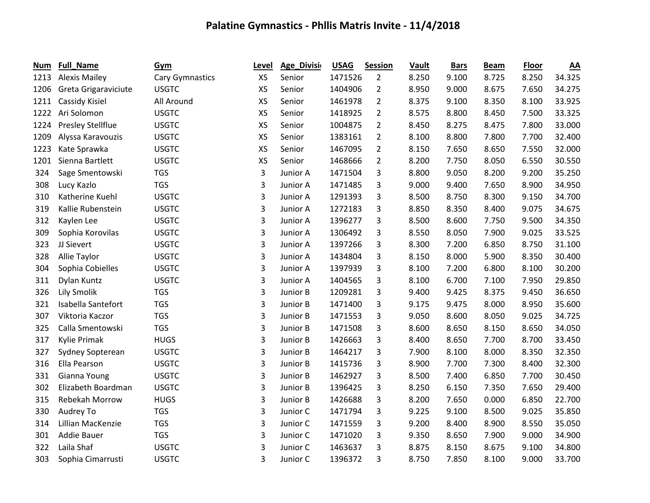| Num  | <b>Full_Name</b>     | Gym             | Level     | Age_Divisio | <b>USAG</b> | <b>Session</b> | Vault | <b>Bars</b> | <b>Beam</b> | <b>Floor</b> | $\underline{AA}$ |
|------|----------------------|-----------------|-----------|-------------|-------------|----------------|-------|-------------|-------------|--------------|------------------|
| 1213 | <b>Alexis Mailey</b> | Cary Gymnastics | <b>XS</b> | Senior      | 1471526     | $\overline{2}$ | 8.250 | 9.100       | 8.725       | 8.250        | 34.325           |
| 1206 | Greta Grigaraviciute | <b>USGTC</b>    | <b>XS</b> | Senior      | 1404906     | $\overline{2}$ | 8.950 | 9.000       | 8.675       | 7.650        | 34.275           |
| 1211 | Cassidy Kisiel       | All Around      | <b>XS</b> | Senior      | 1461978     | $\overline{2}$ | 8.375 | 9.100       | 8.350       | 8.100        | 33.925           |
| 1222 | Ari Solomon          | <b>USGTC</b>    | <b>XS</b> | Senior      | 1418925     | $\overline{2}$ | 8.575 | 8.800       | 8.450       | 7.500        | 33.325           |
| 1224 | Presley Stellflue    | <b>USGTC</b>    | XS        | Senior      | 1004875     | $\overline{2}$ | 8.450 | 8.275       | 8.475       | 7.800        | 33.000           |
| 1209 | Alyssa Karavouzis    | <b>USGTC</b>    | XS        | Senior      | 1383161     | $\overline{2}$ | 8.100 | 8.800       | 7.800       | 7.700        | 32.400           |
| 1223 | Kate Sprawka         | <b>USGTC</b>    | XS        | Senior      | 1467095     | $\overline{2}$ | 8.150 | 7.650       | 8.650       | 7.550        | 32.000           |
| 1201 | Sienna Bartlett      | <b>USGTC</b>    | <b>XS</b> | Senior      | 1468666     | $\overline{2}$ | 8.200 | 7.750       | 8.050       | 6.550        | 30.550           |
| 324  | Sage Smentowski      | <b>TGS</b>      | 3         | Junior A    | 1471504     | 3              | 8.800 | 9.050       | 8.200       | 9.200        | 35.250           |
| 308  | Lucy Kazlo           | <b>TGS</b>      | 3         | Junior A    | 1471485     | 3              | 9.000 | 9.400       | 7.650       | 8.900        | 34.950           |
| 310  | Katherine Kuehl      | <b>USGTC</b>    | 3         | Junior A    | 1291393     | 3              | 8.500 | 8.750       | 8.300       | 9.150        | 34.700           |
| 319  | Kallie Rubenstein    | <b>USGTC</b>    | 3         | Junior A    | 1272183     | 3              | 8.850 | 8.350       | 8.400       | 9.075        | 34.675           |
| 312  | Kaylen Lee           | <b>USGTC</b>    | 3         | Junior A    | 1396277     | 3              | 8.500 | 8.600       | 7.750       | 9.500        | 34.350           |
| 309  | Sophia Korovilas     | <b>USGTC</b>    | 3         | Junior A    | 1306492     | 3              | 8.550 | 8.050       | 7.900       | 9.025        | 33.525           |
| 323  | JJ Sievert           | <b>USGTC</b>    | 3         | Junior A    | 1397266     | 3              | 8.300 | 7.200       | 6.850       | 8.750        | 31.100           |
| 328  | Allie Taylor         | <b>USGTC</b>    | 3         | Junior A    | 1434804     | 3              | 8.150 | 8.000       | 5.900       | 8.350        | 30.400           |
| 304  | Sophia Cobielles     | <b>USGTC</b>    | 3         | Junior A    | 1397939     | 3              | 8.100 | 7.200       | 6.800       | 8.100        | 30.200           |
| 311  | Dylan Kuntz          | <b>USGTC</b>    | 3         | Junior A    | 1404565     | 3              | 8.100 | 6.700       | 7.100       | 7.950        | 29.850           |
| 326  | <b>Lily Smolik</b>   | <b>TGS</b>      | 3         | Junior B    | 1209281     | 3              | 9.400 | 9.425       | 8.375       | 9.450        | 36.650           |
| 321  | Isabella Santefort   | <b>TGS</b>      | 3         | Junior B    | 1471400     | 3              | 9.175 | 9.475       | 8.000       | 8.950        | 35.600           |
| 307  | Viktoria Kaczor      | <b>TGS</b>      | 3         | Junior B    | 1471553     | 3              | 9.050 | 8.600       | 8.050       | 9.025        | 34.725           |
| 325  | Calla Smentowski     | <b>TGS</b>      | 3         | Junior B    | 1471508     | 3              | 8.600 | 8.650       | 8.150       | 8.650        | 34.050           |
| 317  | Kylie Primak         | <b>HUGS</b>     | 3         | Junior B    | 1426663     | 3              | 8.400 | 8.650       | 7.700       | 8.700        | 33.450           |
| 327  | Sydney Sopterean     | <b>USGTC</b>    | 3         | Junior B    | 1464217     | 3              | 7.900 | 8.100       | 8.000       | 8.350        | 32.350           |
| 316  | Ella Pearson         | <b>USGTC</b>    | 3         | Junior B    | 1415736     | 3              | 8.900 | 7.700       | 7.300       | 8.400        | 32.300           |
| 331  | Gianna Young         | <b>USGTC</b>    | 3         | Junior B    | 1462927     | 3              | 8.500 | 7.400       | 6.850       | 7.700        | 30.450           |
| 302  | Elizabeth Boardman   | <b>USGTC</b>    | 3         | Junior B    | 1396425     | 3              | 8.250 | 6.150       | 7.350       | 7.650        | 29.400           |
| 315  | Rebekah Morrow       | <b>HUGS</b>     | 3         | Junior B    | 1426688     | 3              | 8.200 | 7.650       | 0.000       | 6.850        | 22.700           |
| 330  | Audrey To            | <b>TGS</b>      | 3         | Junior C    | 1471794     | 3              | 9.225 | 9.100       | 8.500       | 9.025        | 35.850           |
| 314  | Lillian MacKenzie    | <b>TGS</b>      | 3         | Junior C    | 1471559     | 3              | 9.200 | 8.400       | 8.900       | 8.550        | 35.050           |
| 301  | Addie Bauer          | <b>TGS</b>      | 3         | Junior C    | 1471020     | 3              | 9.350 | 8.650       | 7.900       | 9.000        | 34.900           |
| 322  | Laila Shaf           | <b>USGTC</b>    | 3         | Junior C    | 1463637     | 3              | 8.875 | 8.150       | 8.675       | 9.100        | 34.800           |
| 303  | Sophia Cimarrusti    | <b>USGTC</b>    | 3         | Junior C    | 1396372     | 3              | 8.750 | 7.850       | 8.100       | 9.000        | 33.700           |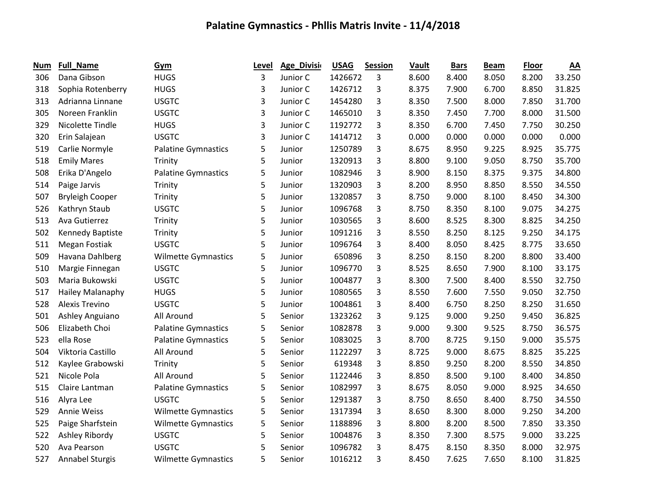| <b>Num</b> | <b>Full_Name</b>       | Gym                        | Level | Age_Divisi | <b>USAG</b> | <b>Session</b> | Vault | <b>Bars</b> | <b>Beam</b> | <b>Floor</b> | $\underline{AA}$ |
|------------|------------------------|----------------------------|-------|------------|-------------|----------------|-------|-------------|-------------|--------------|------------------|
| 306        | Dana Gibson            | <b>HUGS</b>                | 3     | Junior C   | 1426672     | 3              | 8.600 | 8.400       | 8.050       | 8.200        | 33.250           |
| 318        | Sophia Rotenberry      | <b>HUGS</b>                | 3     | Junior C   | 1426712     | 3              | 8.375 | 7.900       | 6.700       | 8.850        | 31.825           |
| 313        | Adrianna Linnane       | <b>USGTC</b>               | 3     | Junior C   | 1454280     | 3              | 8.350 | 7.500       | 8.000       | 7.850        | 31.700           |
| 305        | Noreen Franklin        | <b>USGTC</b>               | 3     | Junior C   | 1465010     | 3              | 8.350 | 7.450       | 7.700       | 8.000        | 31.500           |
| 329        | Nicolette Tindle       | <b>HUGS</b>                | 3     | Junior C   | 1192772     | 3              | 8.350 | 6.700       | 7.450       | 7.750        | 30.250           |
| 320        | Erin Salajean          | <b>USGTC</b>               | 3     | Junior C   | 1414712     | 3              | 0.000 | 0.000       | 0.000       | 0.000        | 0.000            |
| 519        | Carlie Normyle         | <b>Palatine Gymnastics</b> | 5     | Junior     | 1250789     | 3              | 8.675 | 8.950       | 9.225       | 8.925        | 35.775           |
| 518        | <b>Emily Mares</b>     | Trinity                    | 5     | Junior     | 1320913     | 3              | 8.800 | 9.100       | 9.050       | 8.750        | 35.700           |
| 508        | Erika D'Angelo         | <b>Palatine Gymnastics</b> | 5     | Junior     | 1082946     | 3              | 8.900 | 8.150       | 8.375       | 9.375        | 34.800           |
| 514        | Paige Jarvis           | Trinity                    | 5     | Junior     | 1320903     | 3              | 8.200 | 8.950       | 8.850       | 8.550        | 34.550           |
| 507        | <b>Bryleigh Cooper</b> | Trinity                    | 5     | Junior     | 1320857     | 3              | 8.750 | 9.000       | 8.100       | 8.450        | 34.300           |
| 526        | Kathryn Staub          | <b>USGTC</b>               | 5     | Junior     | 1096768     | 3              | 8.750 | 8.350       | 8.100       | 9.075        | 34.275           |
| 513        | Ava Gutierrez          | Trinity                    | 5     | Junior     | 1030565     | 3              | 8.600 | 8.525       | 8.300       | 8.825        | 34.250           |
| 502        | Kennedy Baptiste       | Trinity                    | 5     | Junior     | 1091216     | 3              | 8.550 | 8.250       | 8.125       | 9.250        | 34.175           |
| 511        | Megan Fostiak          | <b>USGTC</b>               | 5     | Junior     | 1096764     | 3              | 8.400 | 8.050       | 8.425       | 8.775        | 33.650           |
| 509        | Havana Dahlberg        | <b>Wilmette Gymnastics</b> | 5     | Junior     | 650896      | 3              | 8.250 | 8.150       | 8.200       | 8.800        | 33.400           |
| 510        | Margie Finnegan        | <b>USGTC</b>               | 5     | Junior     | 1096770     | 3              | 8.525 | 8.650       | 7.900       | 8.100        | 33.175           |
| 503        | Maria Bukowski         | <b>USGTC</b>               | 5     | Junior     | 1004877     | 3              | 8.300 | 7.500       | 8.400       | 8.550        | 32.750           |
| 517        | Hailey Malanaphy       | <b>HUGS</b>                | 5     | Junior     | 1080565     | 3              | 8.550 | 7.600       | 7.550       | 9.050        | 32.750           |
| 528        | Alexis Trevino         | <b>USGTC</b>               | 5     | Junior     | 1004861     | 3              | 8.400 | 6.750       | 8.250       | 8.250        | 31.650           |
| 501        | Ashley Anguiano        | All Around                 | 5     | Senior     | 1323262     | 3              | 9.125 | 9.000       | 9.250       | 9.450        | 36.825           |
| 506        | Elizabeth Choi         | <b>Palatine Gymnastics</b> | 5     | Senior     | 1082878     | 3              | 9.000 | 9.300       | 9.525       | 8.750        | 36.575           |
| 523        | ella Rose              | <b>Palatine Gymnastics</b> | 5     | Senior     | 1083025     | 3              | 8.700 | 8.725       | 9.150       | 9.000        | 35.575           |
| 504        | Viktoria Castillo      | All Around                 | 5     | Senior     | 1122297     | 3              | 8.725 | 9.000       | 8.675       | 8.825        | 35.225           |
| 512        | Kaylee Grabowski       | Trinity                    | 5     | Senior     | 619348      | 3              | 8.850 | 9.250       | 8.200       | 8.550        | 34.850           |
| 521        | Nicole Pola            | All Around                 | 5     | Senior     | 1122446     | 3              | 8.850 | 8.500       | 9.100       | 8.400        | 34.850           |
| 515        | Claire Lantman         | <b>Palatine Gymnastics</b> | 5     | Senior     | 1082997     | 3              | 8.675 | 8.050       | 9.000       | 8.925        | 34.650           |
| 516        | Alyra Lee              | <b>USGTC</b>               | 5     | Senior     | 1291387     | 3              | 8.750 | 8.650       | 8.400       | 8.750        | 34.550           |
| 529        | Annie Weiss            | <b>Wilmette Gymnastics</b> | 5     | Senior     | 1317394     | 3              | 8.650 | 8.300       | 8.000       | 9.250        | 34.200           |
| 525        | Paige Sharfstein       | <b>Wilmette Gymnastics</b> | 5     | Senior     | 1188896     | 3              | 8.800 | 8.200       | 8.500       | 7.850        | 33.350           |
| 522        | Ashley Ribordy         | <b>USGTC</b>               | 5     | Senior     | 1004876     | 3              | 8.350 | 7.300       | 8.575       | 9.000        | 33.225           |
| 520        | Ava Pearson            | <b>USGTC</b>               | 5     | Senior     | 1096782     | 3              | 8.475 | 8.150       | 8.350       | 8.000        | 32.975           |
| 527        | Annabel Sturgis        | <b>Wilmette Gymnastics</b> | 5     | Senior     | 1016212     | 3              | 8.450 | 7.625       | 7.650       | 8.100        | 31.825           |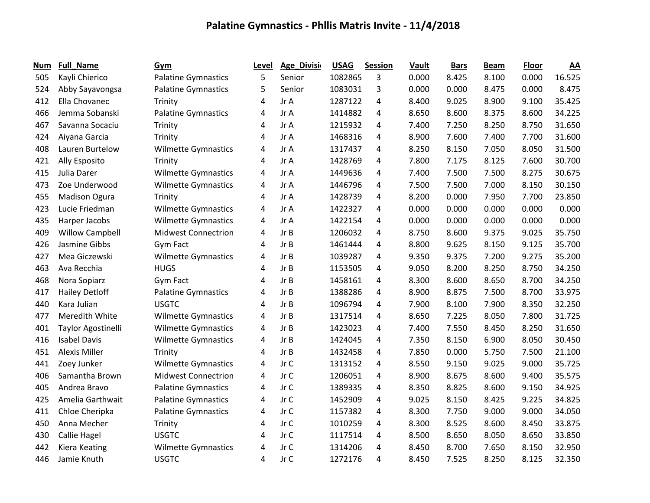| <b>Num</b> | <b>Full_Name</b>       | Gym                        | Level | <b>Age_Division</b> | <b>USAG</b> | <b>Session</b> | <b>Vault</b> | <b>Bars</b> | <b>Beam</b> | <b>Floor</b> | $\underline{AA}$ |
|------------|------------------------|----------------------------|-------|---------------------|-------------|----------------|--------------|-------------|-------------|--------------|------------------|
| 505        | Kayli Chierico         | <b>Palatine Gymnastics</b> | 5     | Senior              | 1082865     | 3              | 0.000        | 8.425       | 8.100       | 0.000        | 16.525           |
| 524        | Abby Sayavongsa        | <b>Palatine Gymnastics</b> | 5     | Senior              | 1083031     | 3              | 0.000        | 0.000       | 8.475       | 0.000        | 8.475            |
| 412        | Ella Chovanec          | Trinity                    | 4     | Jr A                | 1287122     | 4              | 8.400        | 9.025       | 8.900       | 9.100        | 35.425           |
| 466        | Jemma Sobanski         | <b>Palatine Gymnastics</b> | 4     | Jr A                | 1414882     | 4              | 8.650        | 8.600       | 8.375       | 8.600        | 34.225           |
| 467        | Savanna Socaciu        | Trinity                    | 4     | Jr A                | 1215932     | 4              | 7.400        | 7.250       | 8.250       | 8.750        | 31.650           |
| 424        | Aiyana Garcia          | Trinity                    | 4     | Jr A                | 1468316     | 4              | 8.900        | 7.600       | 7.400       | 7.700        | 31.600           |
| 408        | Lauren Burtelow        | <b>Wilmette Gymnastics</b> | 4     | Jr A                | 1317437     | 4              | 8.250        | 8.150       | 7.050       | 8.050        | 31.500           |
| 421        | Ally Esposito          | Trinity                    | 4     | Jr A                | 1428769     | 4              | 7.800        | 7.175       | 8.125       | 7.600        | 30.700           |
| 415        | Julia Darer            | <b>Wilmette Gymnastics</b> | 4     | Jr A                | 1449636     | 4              | 7.400        | 7.500       | 7.500       | 8.275        | 30.675           |
| 473        | Zoe Underwood          | <b>Wilmette Gymnastics</b> | 4     | Jr A                | 1446796     | 4              | 7.500        | 7.500       | 7.000       | 8.150        | 30.150           |
| 455        | <b>Madison Ogura</b>   | Trinity                    | 4     | Jr A                | 1428739     | 4              | 8.200        | 0.000       | 7.950       | 7.700        | 23.850           |
| 423        | Lucie Friedman         | <b>Wilmette Gymnastics</b> | 4     | Jr A                | 1422327     | 4              | 0.000        | 0.000       | 0.000       | 0.000        | 0.000            |
| 435        | Harper Jacobs          | <b>Wilmette Gymnastics</b> | 4     | Jr A                | 1422154     | 4              | 0.000        | 0.000       | 0.000       | 0.000        | 0.000            |
| 409        | <b>Willow Campbell</b> | <b>Midwest Connectrion</b> | 4     | Jr B                | 1206032     | 4              | 8.750        | 8.600       | 9.375       | 9.025        | 35.750           |
| 426        | Jasmine Gibbs          | Gym Fact                   | 4     | Jr B                | 1461444     | 4              | 8.800        | 9.625       | 8.150       | 9.125        | 35.700           |
| 427        | Mea Giczewski          | <b>Wilmette Gymnastics</b> | 4     | Jr B                | 1039287     | 4              | 9.350        | 9.375       | 7.200       | 9.275        | 35.200           |
| 463        | Ava Recchia            | <b>HUGS</b>                | 4     | Jr B                | 1153505     | 4              | 9.050        | 8.200       | 8.250       | 8.750        | 34.250           |
| 468        | Nora Sopiarz           | Gym Fact                   | 4     | Jr B                | 1458161     | 4              | 8.300        | 8.600       | 8.650       | 8.700        | 34.250           |
| 417        | <b>Hailey Detloff</b>  | <b>Palatine Gymnastics</b> | 4     | Jr B                | 1388286     | 4              | 8.900        | 8.875       | 7.500       | 8.700        | 33.975           |
| 440        | Kara Julian            | <b>USGTC</b>               | 4     | Jr B                | 1096794     | 4              | 7.900        | 8.100       | 7.900       | 8.350        | 32.250           |
| 477        | Meredith White         | <b>Wilmette Gymnastics</b> | 4     | Jr B                | 1317514     | 4              | 8.650        | 7.225       | 8.050       | 7.800        | 31.725           |
| 401        | Taylor Agostinelli     | <b>Wilmette Gymnastics</b> | 4     | Jr B                | 1423023     | 4              | 7.400        | 7.550       | 8.450       | 8.250        | 31.650           |
| 416        | <b>Isabel Davis</b>    | <b>Wilmette Gymnastics</b> | 4     | Jr B                | 1424045     | 4              | 7.350        | 8.150       | 6.900       | 8.050        | 30.450           |
| 451        | <b>Alexis Miller</b>   | Trinity                    | 4     | Jr B                | 1432458     | 4              | 7.850        | 0.000       | 5.750       | 7.500        | 21.100           |
| 441        | Zoey Junker            | <b>Wilmette Gymnastics</b> | 4     | Jr C                | 1313152     | 4              | 8.550        | 9.150       | 9.025       | 9.000        | 35.725           |
| 406        | Samantha Brown         | <b>Midwest Connectrion</b> | 4     | Jr C                | 1206051     | 4              | 8.900        | 8.675       | 8.600       | 9.400        | 35.575           |
| 405        | Andrea Bravo           | <b>Palatine Gymnastics</b> | 4     | Jr C                | 1389335     | 4              | 8.350        | 8.825       | 8.600       | 9.150        | 34.925           |
| 425        | Amelia Garthwait       | <b>Palatine Gymnastics</b> | 4     | Jr C                | 1452909     | 4              | 9.025        | 8.150       | 8.425       | 9.225        | 34.825           |
| 411        | Chloe Cheripka         | <b>Palatine Gymnastics</b> | 4     | Jr C                | 1157382     | 4              | 8.300        | 7.750       | 9.000       | 9.000        | 34.050           |
| 450        | Anna Mecher            | Trinity                    | 4     | Jr C                | 1010259     | 4              | 8.300        | 8.525       | 8.600       | 8.450        | 33.875           |
| 430        | Callie Hagel           | <b>USGTC</b>               | 4     | Jr C                | 1117514     | 4              | 8.500        | 8.650       | 8.050       | 8.650        | 33.850           |
| 442        | <b>Kiera Keating</b>   | <b>Wilmette Gymnastics</b> | 4     | Jr C                | 1314206     | 4              | 8.450        | 8.700       | 7.650       | 8.150        | 32.950           |
| 446        | Jamie Knuth            | <b>USGTC</b>               | 4     | Jr C                | 1272176     | 4              | 8.450        | 7.525       | 8.250       | 8.125        | 32.350           |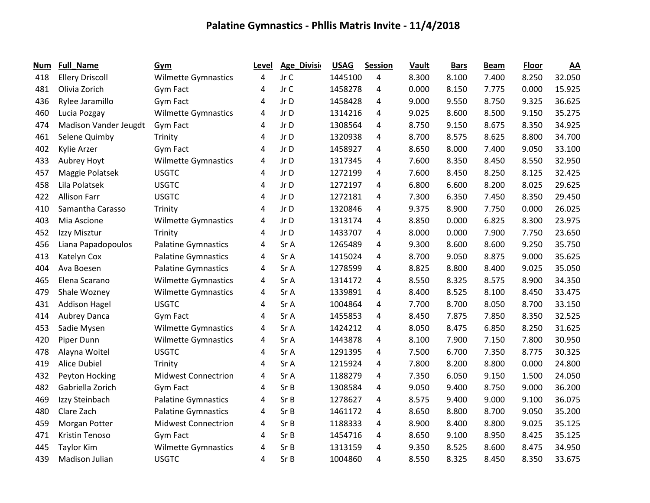| Num | Full_Name              | Gym                        | Level | Age_Divisio | <b>USAG</b> | <b>Session</b> | Vault | <b>Bars</b> | <b>Beam</b> | <b>Floor</b> | $\underline{AA}$ |
|-----|------------------------|----------------------------|-------|-------------|-------------|----------------|-------|-------------|-------------|--------------|------------------|
| 418 | <b>Ellery Driscoll</b> | <b>Wilmette Gymnastics</b> | 4     | Jr C        | 1445100     | 4              | 8.300 | 8.100       | 7.400       | 8.250        | 32.050           |
| 481 | Olivia Zorich          | Gym Fact                   | 4     | Jr C        | 1458278     | 4              | 0.000 | 8.150       | 7.775       | 0.000        | 15.925           |
| 436 | Rylee Jaramillo        | Gym Fact                   | 4     | Jr D        | 1458428     | 4              | 9.000 | 9.550       | 8.750       | 9.325        | 36.625           |
| 460 | Lucia Pozgay           | <b>Wilmette Gymnastics</b> | 4     | Jr D        | 1314216     | 4              | 9.025 | 8.600       | 8.500       | 9.150        | 35.275           |
| 474 | Madison Vander Jeugdt  | Gym Fact                   | 4     | Jr D        | 1308564     | 4              | 8.750 | 9.150       | 8.675       | 8.350        | 34.925           |
| 461 | Selene Quimby          | Trinity                    | 4     | Jr D        | 1320938     | 4              | 8.700 | 8.575       | 8.625       | 8.800        | 34.700           |
| 402 | Kylie Arzer            | Gym Fact                   | 4     | Jr D        | 1458927     | 4              | 8.650 | 8.000       | 7.400       | 9.050        | 33.100           |
| 433 | Aubrey Hoyt            | <b>Wilmette Gymnastics</b> | 4     | Jr D        | 1317345     | 4              | 7.600 | 8.350       | 8.450       | 8.550        | 32.950           |
| 457 | Maggie Polatsek        | <b>USGTC</b>               | 4     | Jr D        | 1272199     | 4              | 7.600 | 8.450       | 8.250       | 8.125        | 32.425           |
| 458 | Lila Polatsek          | <b>USGTC</b>               | 4     | Jr D        | 1272197     | 4              | 6.800 | 6.600       | 8.200       | 8.025        | 29.625           |
| 422 | <b>Allison Farr</b>    | <b>USGTC</b>               | 4     | Jr D        | 1272181     | 4              | 7.300 | 6.350       | 7.450       | 8.350        | 29.450           |
| 410 | Samantha Carasso       | Trinity                    | 4     | Jr D        | 1320846     | 4              | 9.375 | 8.900       | 7.750       | 0.000        | 26.025           |
| 403 | Mia Ascione            | <b>Wilmette Gymnastics</b> | 4     | Jr D        | 1313174     | $\overline{4}$ | 8.850 | 0.000       | 6.825       | 8.300        | 23.975           |
| 452 | Izzy Misztur           | Trinity                    | 4     | Jr D        | 1433707     | 4              | 8.000 | 0.000       | 7.900       | 7.750        | 23.650           |
| 456 | Liana Papadopoulos     | <b>Palatine Gymnastics</b> | 4     | Sr A        | 1265489     | 4              | 9.300 | 8.600       | 8.600       | 9.250        | 35.750           |
| 413 | Katelyn Cox            | <b>Palatine Gymnastics</b> | 4     | Sr A        | 1415024     | 4              | 8.700 | 9.050       | 8.875       | 9.000        | 35.625           |
| 404 | Ava Boesen             | <b>Palatine Gymnastics</b> | 4     | Sr A        | 1278599     | 4              | 8.825 | 8.800       | 8.400       | 9.025        | 35.050           |
| 465 | Elena Scarano          | <b>Wilmette Gymnastics</b> | 4     | Sr A        | 1314172     | 4              | 8.550 | 8.325       | 8.575       | 8.900        | 34.350           |
| 479 | Shale Wozney           | <b>Wilmette Gymnastics</b> | 4     | Sr A        | 1339891     | $\overline{4}$ | 8.400 | 8.525       | 8.100       | 8.450        | 33.475           |
| 431 | <b>Addison Hagel</b>   | <b>USGTC</b>               | 4     | Sr A        | 1004864     | 4              | 7.700 | 8.700       | 8.050       | 8.700        | 33.150           |
| 414 | Aubrey Danca           | Gym Fact                   | 4     | Sr A        | 1455853     | 4              | 8.450 | 7.875       | 7.850       | 8.350        | 32.525           |
| 453 | Sadie Mysen            | <b>Wilmette Gymnastics</b> | 4     | Sr A        | 1424212     | 4              | 8.050 | 8.475       | 6.850       | 8.250        | 31.625           |
| 420 | Piper Dunn             | <b>Wilmette Gymnastics</b> | 4     | Sr A        | 1443878     | 4              | 8.100 | 7.900       | 7.150       | 7.800        | 30.950           |
| 478 | Alayna Woitel          | <b>USGTC</b>               | 4     | Sr A        | 1291395     | 4              | 7.500 | 6.700       | 7.350       | 8.775        | 30.325           |
| 419 | <b>Alice Dubiel</b>    | Trinity                    | 4     | Sr A        | 1215924     | 4              | 7.800 | 8.200       | 8.800       | 0.000        | 24.800           |
| 432 | Peyton Hocking         | <b>Midwest Connectrion</b> | 4     | Sr A        | 1188279     | 4              | 7.350 | 6.050       | 9.150       | 1.500        | 24.050           |
| 482 | Gabriella Zorich       | Gym Fact                   | 4     | Sr B        | 1308584     | 4              | 9.050 | 9.400       | 8.750       | 9.000        | 36.200           |
| 469 | Izzy Steinbach         | <b>Palatine Gymnastics</b> | 4     | Sr B        | 1278627     | 4              | 8.575 | 9.400       | 9.000       | 9.100        | 36.075           |
| 480 | Clare Zach             | <b>Palatine Gymnastics</b> | 4     | Sr B        | 1461172     | 4              | 8.650 | 8.800       | 8.700       | 9.050        | 35.200           |
| 459 | Morgan Potter          | <b>Midwest Connectrion</b> | 4     | Sr B        | 1188333     | 4              | 8.900 | 8.400       | 8.800       | 9.025        | 35.125           |
| 471 | <b>Kristin Tenoso</b>  | Gym Fact                   | 4     | Sr B        | 1454716     | 4              | 8.650 | 9.100       | 8.950       | 8.425        | 35.125           |
| 445 | <b>Taylor Kim</b>      | <b>Wilmette Gymnastics</b> | 4     | Sr B        | 1313159     | 4              | 9.350 | 8.525       | 8.600       | 8.475        | 34.950           |
| 439 | Madison Julian         | <b>USGTC</b>               | 4     | Sr B        | 1004860     | 4              | 8.550 | 8.325       | 8.450       | 8.350        | 33.675           |